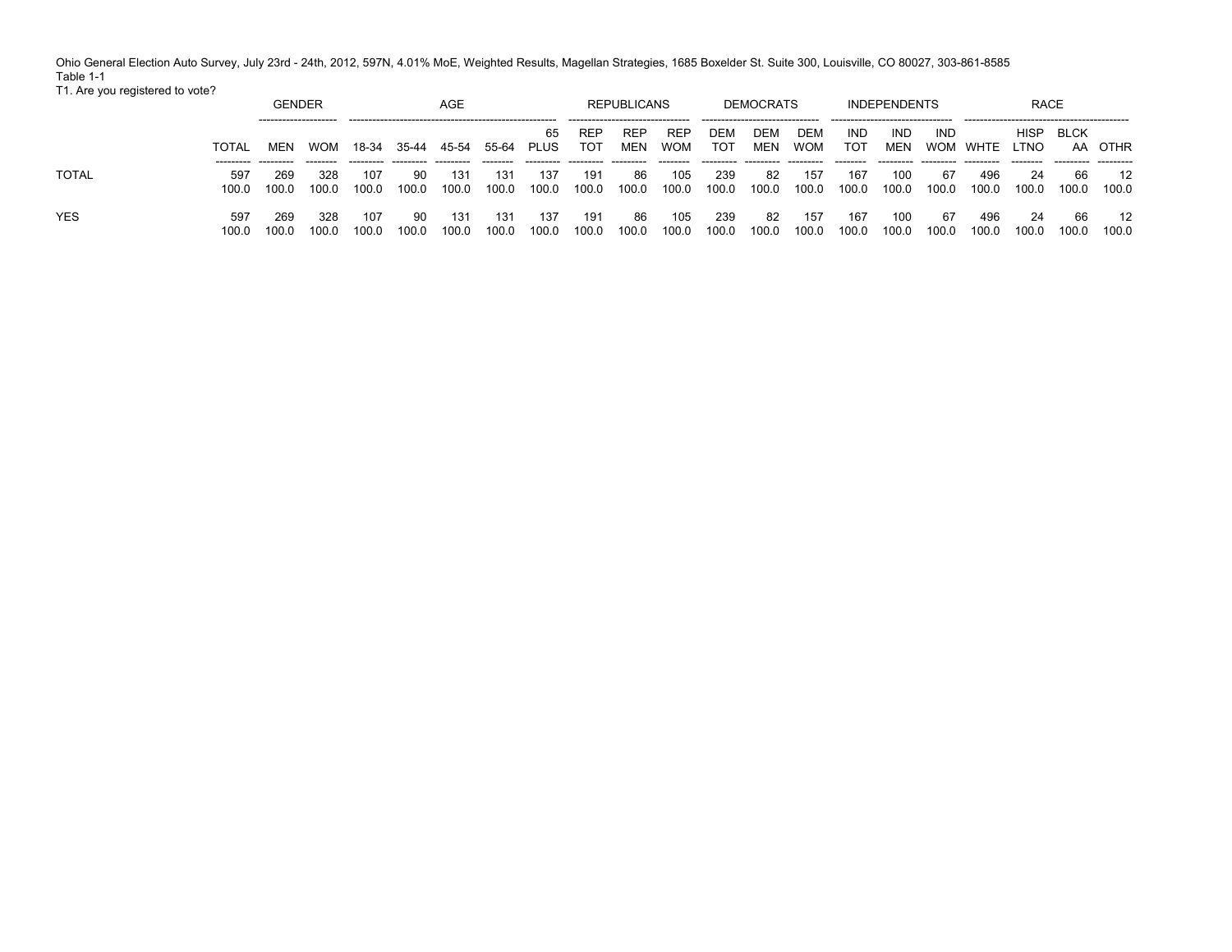Ohio General Election Auto Survey, July 23rd - 24th, 2012, 597N, 4.01% MoE, Weighted Results, Magellan Strategies, 1685 Boxelder St. Suite 300, Louisville, CO 80027, 303-861-8585 Table 1-1 T1. Are you registered to vote?

|              |       | <b>GENDER</b> |            |       |       | AGE   |       |                   |                   | <b>REPUBLICANS</b> |                          |                   | <b>DEMOCRATS</b> |                   |                   | <b>INDEPENDENTS</b> |            |               | <b>RACE</b> |       |         |
|--------------|-------|---------------|------------|-------|-------|-------|-------|-------------------|-------------------|--------------------|--------------------------|-------------------|------------------|-------------------|-------------------|---------------------|------------|---------------|-------------|-------|---------|
|              | TOTAL | MEN           | <b>WOM</b> | 18-34 | 35-44 | 45-54 | 55-64 | 65<br><b>PLUS</b> | REP<br><b>TOT</b> | <b>REP</b><br>MEN  | <b>REP</b><br><b>WOM</b> | DEM<br><b>TOT</b> | DEM<br>MEN       | DEM<br><b>WOM</b> | IND<br><b>TOT</b> | <b>IND</b><br>MEN   | <b>IND</b> | WOM WHTE LTNO | HISP        | BLCK  | AA OTHR |
| <b>TOTAL</b> | 597   | 269           | 328        | 107   | 90    | 131   | 131   | 137               | 191               | 86                 | 105                      | 239               | -82              | 157               | 167               | 100                 | 67         | 496           | 24          | -66   | 12      |
|              | 100.0 | 100.0         | 100.0      | 100.0 | 100.0 | 100.0 | 100.0 | 100.0             | 100.0             | 100.0              | 100.0                    | 100.0             | 100.0            | 100.0             | 100.0             | 100.0               | 100.0      | 100.0         | 100.0       | 100.0 | 100.0   |
| <b>YES</b>   | 597   | 269           | 328        | 107   | 90    | 131   | 131   | 137               | 191               | 86                 | 105                      | 239               | -82              | 157               | 167               | 100                 | 67         | 496           | 24          | 66    | 12      |
|              | 100.0 | 100.0         | 100.0      | 100.0 | 100.0 | 100.0 | 100.0 | 100.0             | 100.0             | 100.0              | 100.0                    | 100.0             | 100.0            | 100.0             | 100.0             | 100.0               | 100.0      | 100.0         | 100.0       | 100.0 | 100.0   |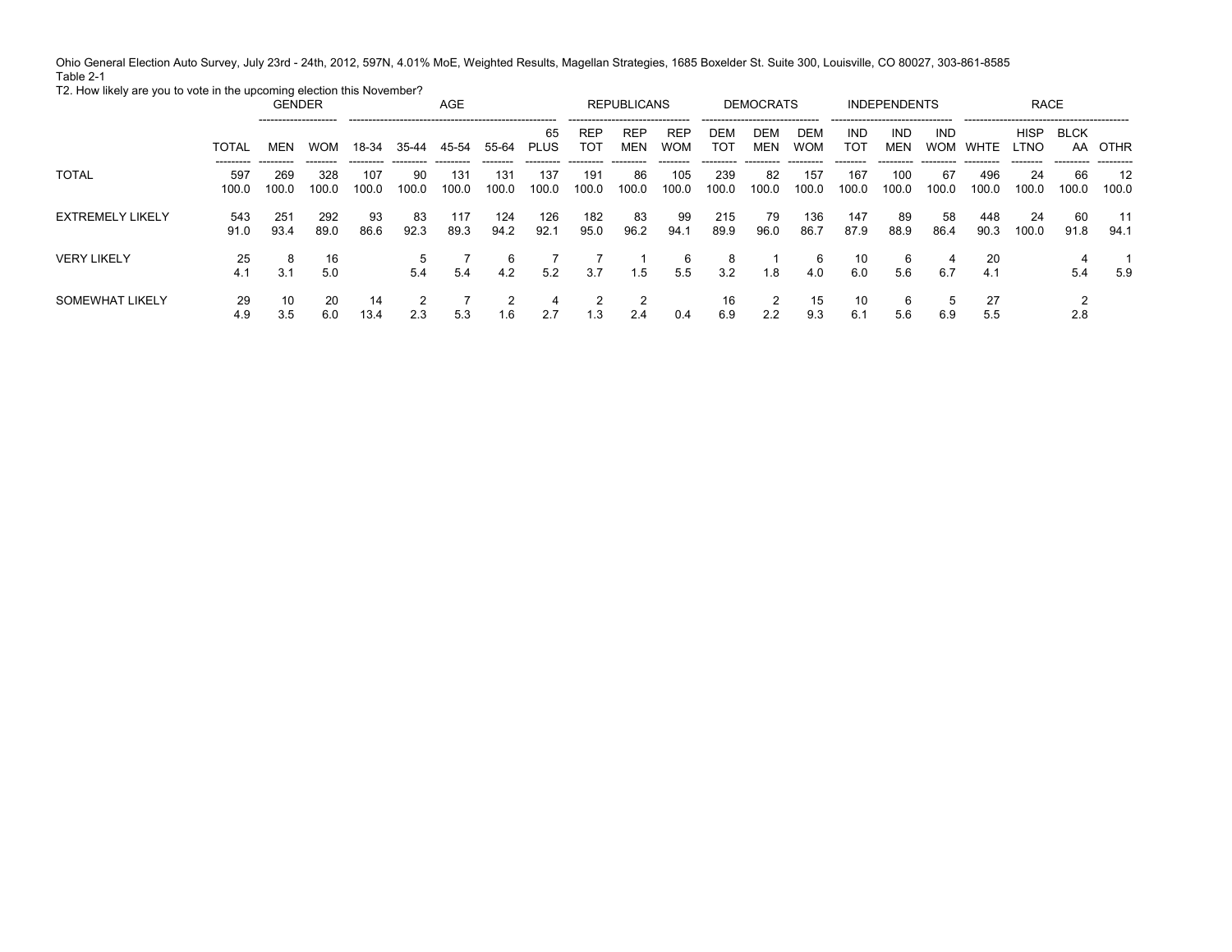Ohio General Election Auto Survey, July 23rd - 24th, 2012, 597N, 4.01% MoE, Weighted Results, Magellan Strategies, 1685 Boxelder St. Suite 300, Louisville, CO 80027, 303-861-8585 Table 2-1

T2. How likely are you to vote in the upcoming election this November?

|                         |              | <b>GENDER</b><br>-------------------- |              |              |             | AGE          |              |              | --------------------------------- | <b>REPUBLICANS</b> |                          |              | <b>DEMOCRATS</b><br>------------------------------- |                   | -------------------------------- | <b>INDEPENDENTS</b> |                          |              | <b>RACE</b>  |             |                   |
|-------------------------|--------------|---------------------------------------|--------------|--------------|-------------|--------------|--------------|--------------|-----------------------------------|--------------------|--------------------------|--------------|-----------------------------------------------------|-------------------|----------------------------------|---------------------|--------------------------|--------------|--------------|-------------|-------------------|
|                         | <b>TOTAL</b> | MEN<br>---------                      | <b>WOM</b>   | 18-34        | 35-44       | 45-54        | 55-64        | 65<br>PLUS   | REP<br>тот                        | <b>REP</b><br>MEN  | <b>REP</b><br><b>WOM</b> | DEM<br>тот   | DEM<br><b>MEN</b>                                   | DEM<br><b>WOM</b> | IND<br>тот                       | IND<br>MEN          | <b>IND</b><br><b>WOM</b> | WHTE         | HISP<br>LTNO | BLCK<br>AA  | OTHR<br>--------- |
| <b>TOTAL</b>            | 597<br>100.0 | 269<br>100.0                          | 328<br>100.0 | 107<br>100.0 | 90<br>100.0 | 131<br>100.0 | 131<br>100.0 | 137<br>100.0 | 191<br>100.0                      | 86<br>100.0        | 105<br>100.0             | 239<br>100.0 | 82<br>100.0                                         | 157<br>100.0      | 167<br>100.0                     | 100<br>100.0        | 67<br>100.0              | 496<br>100.0 | 24<br>100.0  | 66<br>100.0 | 12<br>100.0       |
| <b>EXTREMELY LIKELY</b> | 543<br>91.0  | 251<br>93.4                           | 292<br>89.0  | 93<br>86.6   | 83<br>92.3  | 117<br>89.3  | 124<br>94.2  | 126<br>92.1  | 182<br>95.0                       | 83<br>96.2         | 99<br>94.1               | 215<br>89.9  | 79<br>96.0                                          | 136<br>86.7       | 147<br>87.9                      | 89<br>88.9          | 58<br>86.4               | 448<br>90.3  | 24<br>100.0  | -60<br>91.8 | 11<br>94.1        |
| <b>VERY LIKELY</b>      | 25<br>4.1    | 8<br>3.1                              | 16<br>5.0    |              | 5.4         | 5.4          | 6<br>4.2     | 5.2          | 3.7                               | 1.5                | 6<br>5.5                 | 8<br>3.2     | 1.8                                                 | 6<br>4.0          | 10<br>6.0                        | 6<br>5.6            | 4<br>6.7                 | 20<br>4.1    |              | 5.4         | 5.9               |
| SOMEWHAT LIKELY         | 29<br>4.9    | 10<br>3.5                             | 20<br>6.0    | 14<br>13.4   | 2.3         | 5.3          | 1.6          | 4<br>2.7     | 1.3                               | 2.4                | 0.4                      | 16<br>6.9    | 2.2                                                 | 15<br>9.3         | 10<br>6.1                        | 6<br>5.6            | 6.9                      | 27<br>5.5    |              | 2.8         |                   |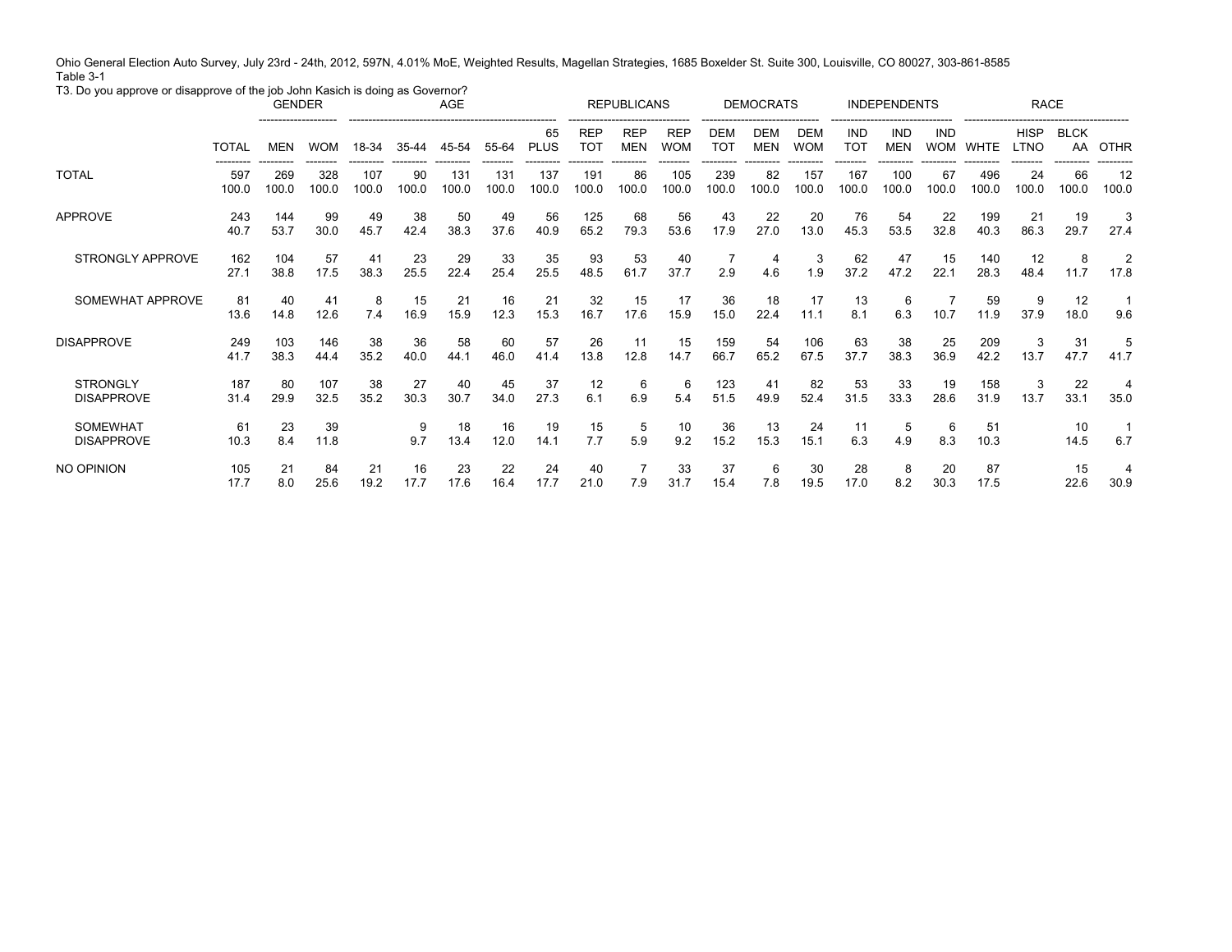Ohio General Election Auto Survey, July 23rd - 24th, 2012, 597N, 4.01% MoE, Weighted Results, Magellan Strategies, 1685 Boxelder St. Suite 300, Louisville, CO 80027, 303-861-8585 Table 3-1

T3. Do you approve or disapprove of the job John Kasich is doing as Governor?

|                                      |              | <b>GENDER</b> |              |              |             | AGE          |              |                   |                               | <b>REPUBLICANS</b>       |                          |                          | <b>DEMOCRATS</b>         |                   |                   | <b>INDEPENDENTS</b> |                          |              | <b>RACE</b>                |                   |                        |
|--------------------------------------|--------------|---------------|--------------|--------------|-------------|--------------|--------------|-------------------|-------------------------------|--------------------------|--------------------------|--------------------------|--------------------------|-------------------|-------------------|---------------------|--------------------------|--------------|----------------------------|-------------------|------------------------|
|                                      | <b>TOTAL</b> | <b>MEN</b>    | <b>WOM</b>   | 18-34        | $35 - 44$   | <br>45-54    | 55-64        | 65<br><b>PLUS</b> | <b>REP</b><br>TO <sub>1</sub> | <b>REP</b><br><b>MEN</b> | <b>REP</b><br><b>WOM</b> | <b>DEM</b><br><b>TOT</b> | <b>DEM</b><br><b>MEN</b> | DEM<br><b>WOM</b> | <b>IND</b><br>TOT | IND<br><b>MEN</b>   | <b>IND</b><br><b>WOM</b> | <b>WHTE</b>  | <b>HISP</b><br><b>LTNO</b> | <b>BLCK</b><br>AA | <b>OTHR</b>            |
| <b>TOTAL</b>                         | 597<br>100.0 | 269<br>100.0  | 328<br>100.0 | 107<br>100.0 | 90<br>100.0 | 131<br>100.0 | 131<br>100.0 | 137<br>100.0      | 191<br>100.0                  | 86<br>100.0              | 105<br>100.0             | 239<br>100.0             | 82<br>100.0              | 157<br>100.0      | 167<br>100.0      | 100<br>100.0        | 67<br>100.0              | 496<br>100.0 | 24<br>100.0                | 66<br>100.0       | 12<br>100.0            |
| <b>APPROVE</b>                       | 243<br>40.7  | 144<br>53.7   | 99<br>30.0   | 49<br>45.7   | 38<br>42.4  | 50<br>38.3   | 49<br>37.6   | 56<br>40.9        | 125<br>65.2                   | 68<br>79.3               | 56<br>53.6               | 43<br>17.9               | 22<br>27.0               | 20<br>13.0        | 76<br>45.3        | 54<br>53.5          | 22<br>32.8               | 199<br>40.3  | 21<br>86.3                 | 19<br>29.7        | 27.4                   |
| STRONGLY APPROVE                     | 162<br>27.1  | 104<br>38.8   | 57<br>17.5   | 41<br>38.3   | 23<br>25.5  | 29<br>22.4   | 33<br>25.4   | 35<br>25.5        | 93<br>48.5                    | 53<br>61.7               | 40<br>37.7               | 2.9                      | 4<br>4.6                 | 3<br>1.9          | 62<br>37.2        | 47<br>47.2          | 15<br>22.1               | 140<br>28.3  | 12<br>48.4                 | 8<br>11.7         | $\overline{2}$<br>17.8 |
| SOMEWHAT APPROVE                     | 81<br>13.6   | 40<br>14.8    | 41<br>12.6   | 8<br>7.4     | 15<br>16.9  | 21<br>15.9   | 16<br>12.3   | 21<br>15.3        | 32<br>16.7                    | 15<br>17.6               | 17<br>15.9               | 36<br>15.0               | 18<br>22.4               | 17<br>11.1        | 13<br>8.1         | 6<br>6.3            | 10.7                     | 59<br>11.9   | 9<br>37.9                  | 12<br>18.0        | 9.6                    |
| <b>DISAPPROVE</b>                    | 249<br>41.7  | 103<br>38.3   | 146<br>44.4  | 38<br>35.2   | 36<br>40.0  | 58<br>44.1   | 60<br>46.0   | 57<br>41.4        | 26<br>13.8                    | 11<br>12.8               | 15<br>14.7               | 159<br>66.7              | 54<br>65.2               | 106<br>67.5       | 63<br>37.7        | 38<br>38.3          | 25<br>36.9               | 209<br>42.2  | 3<br>13.7                  | 31<br>47.7        | 41.7                   |
| <b>STRONGLY</b><br><b>DISAPPROVE</b> | 187<br>31.4  | 80<br>29.9    | 107<br>32.5  | 38<br>35.2   | 27<br>30.3  | 40<br>30.7   | 45<br>34.0   | 37<br>27.3        | 12<br>6.1                     | 6<br>6.9                 | 6<br>5.4                 | 123<br>51.5              | 41<br>49.9               | 82<br>52.4        | 53<br>31.5        | 33<br>33.3          | 19<br>28.6               | 158<br>31.9  | 3<br>13.7                  | 22<br>33.1        | 4<br>35.0              |
| <b>SOMEWHAT</b><br><b>DISAPPROVE</b> | 61<br>10.3   | 23<br>8.4     | 39<br>11.8   |              | 9<br>9.7    | 18<br>13.4   | 16<br>12.0   | 19<br>14.1        | 15<br>7.7                     | 5<br>5.9                 | 10<br>9.2                | 36<br>15.2               | 13<br>15.3               | 24<br>15.1        | 11<br>6.3         | 5<br>4.9            | 6<br>8.3                 | 51<br>10.3   |                            | 10<br>14.5        | 6.7                    |
| NO OPINION                           | 105<br>17.7  | 21<br>8.0     | 84<br>25.6   | 21<br>19.2   | 16<br>17.7  | 23<br>17.6   | 22<br>16.4   | 24<br>17.7        | 40<br>21.0                    | 7.9                      | 33<br>31.7               | 37<br>15.4               | 6<br>7.8                 | 30<br>19.5        | 28<br>17.0        | 8<br>8.2            | 20<br>30.3               | 87<br>17.5   |                            | 15<br>22.6        | 4<br>30.9              |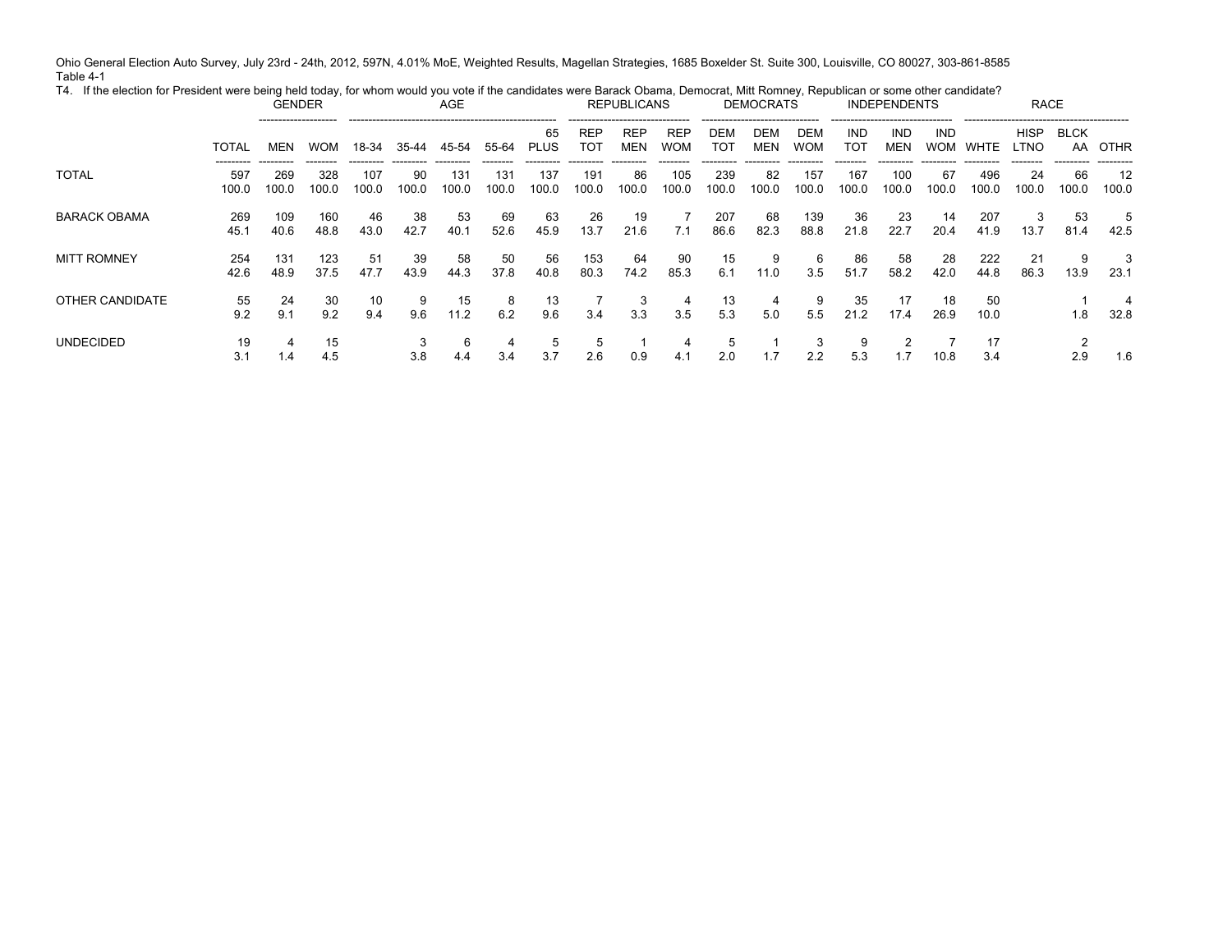Ohio General Election Auto Survey, July 23rd - 24th, 2012, 597N, 4.01% MoE, Weighted Results, Magellan Strategies, 1685 Boxelder St. Suite 300, Louisville, CO 80027, 303-861-8585 Table 4-1 T4. If the election for President were being held today, for whom would you vote if the candidates were Barack Obama, Democrat, Mitt Romney, Republican or some other candidate?

| $\sim$ 1. The coordinate the condition of the complete the couple of the content and conditional complete complete the complete the complete of the complete of the complete of the complete of the complete of the complete of |              | <b>GENDER</b> |              |              |             | AGE          |              |                   |                    | <b>REPUBLICANS</b>       |                          |              | <b>DEMOCRATS</b> |                   |                   | <b>INDEPENDENTS</b>      |                          |              | <b>RACE</b>         |             |             |
|---------------------------------------------------------------------------------------------------------------------------------------------------------------------------------------------------------------------------------|--------------|---------------|--------------|--------------|-------------|--------------|--------------|-------------------|--------------------|--------------------------|--------------------------|--------------|------------------|-------------------|-------------------|--------------------------|--------------------------|--------------|---------------------|-------------|-------------|
|                                                                                                                                                                                                                                 | <b>TOTAL</b> | MEN           | <b>WOM</b>   | 18-34        | 35-44       | 45-54        | 55-64        | 65<br><b>PLUS</b> | <b>REP</b><br>TOT  | <b>REP</b><br><b>MEN</b> | <b>REP</b><br><b>WOM</b> | DEM<br>тот   | DEM<br>MEN       | DEM<br><b>WOM</b> | <b>IND</b><br>TOT | <b>IND</b><br><b>MEN</b> | <b>IND</b><br><b>WOM</b> | WHTE         | <b>HISP</b><br>LTNO | <b>BLCK</b> | AA OTHR     |
| <b>TOTAL</b>                                                                                                                                                                                                                    | 597<br>100.0 | 269<br>100.0  | 328<br>100.0 | 107<br>100.0 | 90<br>100.0 | 131<br>100.0 | 131<br>100.0 | 137<br>100.0      | 191<br>100.0       | 86<br>100.0              | 105<br>100.0             | 239<br>100.0 | 82<br>100.0      | 157<br>100.0      | 167<br>100.0      | 100<br>100.0             | 67<br>100.0              | 496<br>100.0 | 24<br>100.0         | 66<br>100.0 | 12<br>100.0 |
| <b>BARACK OBAMA</b>                                                                                                                                                                                                             | 269<br>45.1  | 109<br>40.6   | 160<br>48.8  | 46<br>43.0   | 38<br>42.7  | 53<br>40.1   | 69<br>52.6   | 63<br>45.9        | 26<br>13.7         | 19<br>21.6               | 7.1                      | 207<br>86.6  | 68<br>82.3       | 139<br>88.8       | -36<br>21.8       | -23<br>22.7              | 14<br>20.4               | 207<br>41.9  | 3<br>13.7           | 53<br>81.4  | 5<br>42.5   |
| <b>MITT ROMNEY</b>                                                                                                                                                                                                              | 254<br>42.6  | 131<br>48.9   | 123<br>37.5  | 51<br>47.7   | 39<br>43.9  | 58<br>44.3   | 50<br>37.8   | 56<br>40.8        | 153<br>80.3        | 64<br>74.2               | 90<br>85.3               | 15<br>6.1    | 9<br>11.0        | 6<br>3.5          | 86<br>51.7        | 58<br>58.2               | 28<br>42.0               | 222<br>44.8  | 21<br>86.3          | 9<br>13.9   | 3<br>23.1   |
| OTHER CANDIDATE                                                                                                                                                                                                                 | 55<br>9.2    | 24<br>9.1     | 30<br>9.2    | 10<br>9.4    | 9.6         | 15<br>11.2   | 8<br>6.2     | 13<br>9.6         | 3.4                | 3.3                      | 4<br>3.5                 | 13<br>5.3    | 5.0              | 5.5               | 35<br>21.2        | 17<br>17.4               | 18<br>26.9               | 50<br>10.0   |                     | 1.8         | 4<br>32.8   |
| <b>UNDECIDED</b>                                                                                                                                                                                                                | 19<br>3.1    | 4<br>1.4      | 15<br>4.5    |              | 3.8         | 6<br>4.4     | 4<br>3.4     | -5<br>3.7         | $\mathbf b$<br>2.6 | 0.9                      | 4.1                      | 5<br>2.0     | 1.7              | 3<br>2.2          | 9<br>5.3          |                          | 10.8                     | 17<br>3.4    |                     | 2.9         | 1.6         |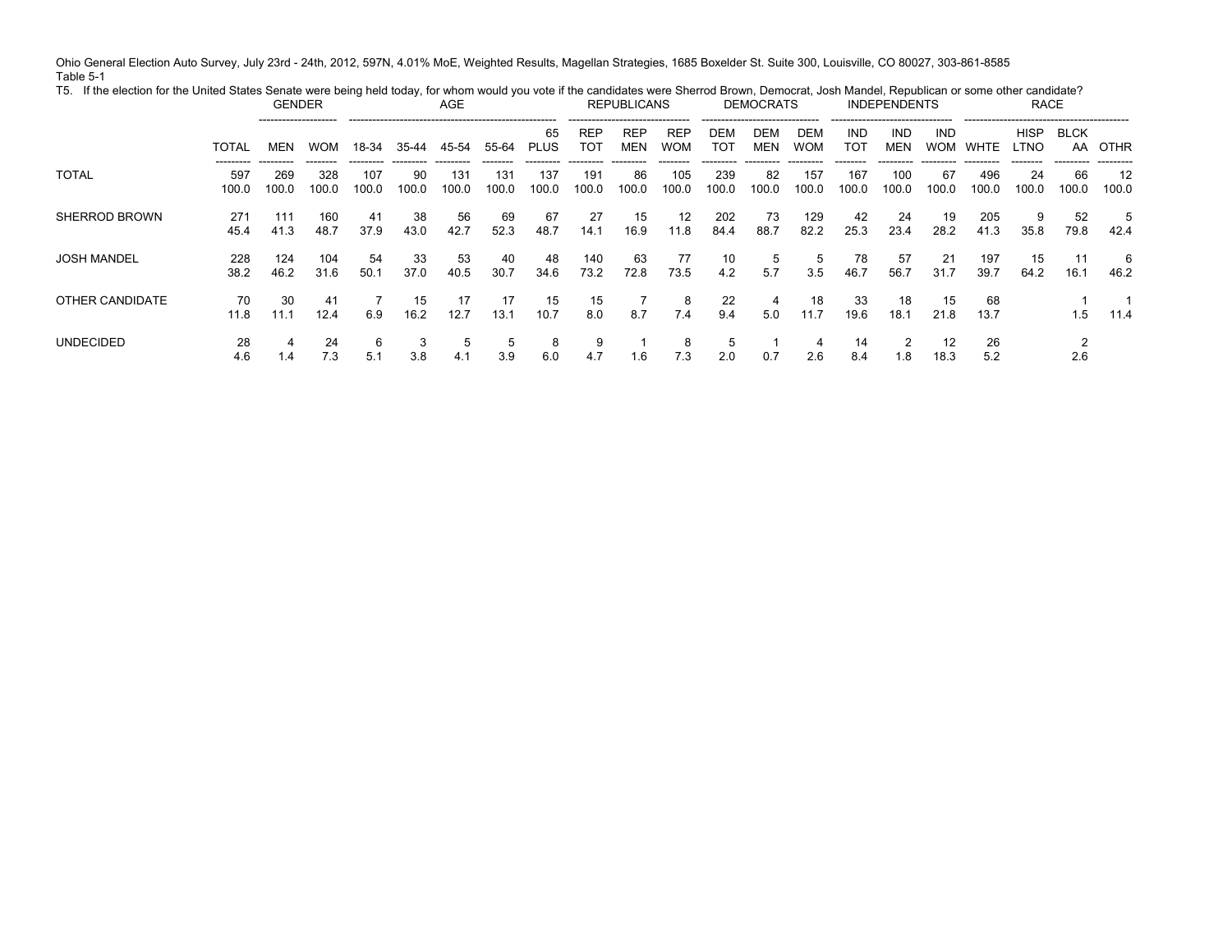Ohio General Election Auto Survey, July 23rd - 24th, 2012, 597N, 4.01% MoE, Weighted Results, Magellan Strategies, 1685 Boxelder St. Suite 300, Louisville, CO 80027, 303-861-8585 Table 5-1 T5. If the election for the United States Senate were being held today, for whom would you vote if the candidates were Sherrod Brown, Democrat, Josh Mandel, Republican or some other candidate?

|                      |                           | <b>GENDER</b><br>-------------------- |                          |                           |                           | AGE                       |                          |                           |                           | <b>REPUBLICANS</b>       |                          |                           | <b>DEMOCRATS</b>                              |                           |                          | <b>INDEPENDENTS</b><br>--------------------------------- |                           |                            | <b>RACE</b>              |                          |                          |
|----------------------|---------------------------|---------------------------------------|--------------------------|---------------------------|---------------------------|---------------------------|--------------------------|---------------------------|---------------------------|--------------------------|--------------------------|---------------------------|-----------------------------------------------|---------------------------|--------------------------|----------------------------------------------------------|---------------------------|----------------------------|--------------------------|--------------------------|--------------------------|
|                      | <b>TOTAL</b>              | MEN                                   | <b>WOM</b>               | 18-34                     | 35-44                     | 45-54                     | 55-64                    | 65<br><b>PLUS</b>         | REF<br>וסד                | <b>REP</b><br>MEN        | <b>REP</b><br><b>WOM</b> | DEM<br>тот                | -------------------------------<br>DEM<br>MEN | DEM<br><b>WOM</b>         | IND<br>TOT               | <b>IND</b><br><b>MEN</b>                                 | IND<br><b>WOM</b>         | WHTE                       | <b>HISP</b><br>LTNO      | <b>BLCK</b><br>AA        | OTHR                     |
| <b>TOTAL</b>         | ---------<br>597<br>100.0 | ---------<br>269<br>100.0             | --------<br>328<br>100.0 | ---------<br>107<br>100.0 | ----------<br>90<br>100.0 | ---------<br>131<br>100.0 | --------<br>131<br>100.0 | ---------<br>137<br>100.0 | ---------<br>191<br>100.0 | ---------<br>86<br>100.0 | --------<br>105<br>100.0 | ---------<br>239<br>100.0 | ---------<br>82<br>100.0                      | ---------<br>157<br>100.0 | --------<br>167<br>100.0 | ---------<br>100<br>100.0                                | ----------<br>67<br>100.0 | ----------<br>496<br>100.0 | ---------<br>24<br>100.0 | ---------<br>66<br>100.0 | ---------<br>12<br>100.0 |
| <b>SHERROD BROWN</b> | 271<br>45.4               | 111<br>41.3                           | 160<br>48.7              | 41<br>37.9                | 38<br>43.0                | 56<br>42.7                | 69<br>52.3               | 67<br>48.7                | 27<br>14.1                | 15<br>16.9               | 12<br>11.8               | 202<br>84.4               | 73<br>88.7                                    | 129<br>82.2               | 42<br>25.3               | -24<br>23.4                                              | 19<br>28.2                | 205<br>41.3                | 9<br>35.8                | 52<br>79.8               | 5<br>42.4                |
| <b>JOSH MANDEL</b>   | 228<br>38.2               | 124<br>46.2                           | 104<br>31.6              | 54<br>50.1                | 33<br>37.0                | 53<br>40.5                | 40<br>30.7               | 48<br>34.6                | 140<br>73.2               | 63<br>72.8               | 77<br>73.5               | 10<br>4.2                 | 5<br>5.7                                      | 5<br>3.5                  | 78<br>46.7               | 57<br>56.7                                               | 21<br>31.7                | 197<br>39.7                | 15<br>64.2               | 11<br>16.7               | 6<br>46.2                |
| OTHER CANDIDATE      | 70<br>11.8                | 30<br>11.1                            | 41<br>12.4               | 6.9                       | 15<br>16.2                | 17<br>12.7                | 17<br>13.1               | 15<br>10.7                | 15<br>8.0                 | 8.7                      | 8<br>7.4                 | 22<br>9.4                 | 5.0                                           | 18<br>11.7                | -33<br>19.6              | 18<br>18.1                                               | 15<br>21.8                | 68<br>13.7                 |                          | 1.5                      | 11.4                     |
| <b>UNDECIDED</b>     | 28<br>4.6                 | 4<br>$\mathsf{I}$ .4                  | 24<br>7.3                | 6<br>5.1                  | 3<br>3.8                  | 5<br>4.1                  | ರಿ<br>3.9                | 8<br>6.0                  | 9<br>4.7                  | 1.6                      | 8<br>7.3                 | b<br>2.0                  | 0.7                                           | 4<br>2.6                  | 14<br>8.4                | . . 8                                                    | 12<br>18.3                | 26<br>5.2                  |                          | 2.6                      |                          |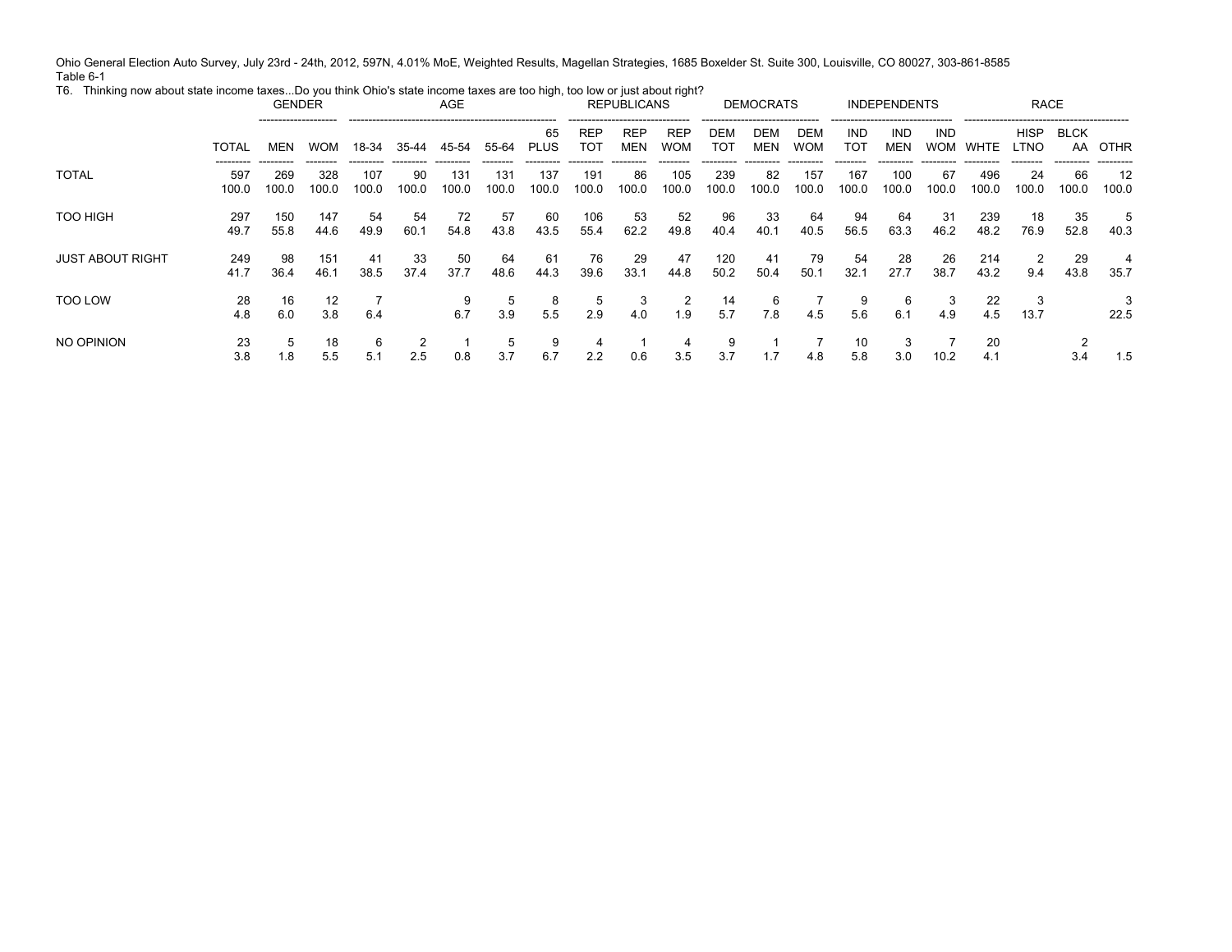Ohio General Election Auto Survey, July 23rd - 24th, 2012, 597N, 4.01% MoE, Weighted Results, Magellan Strategies, 1685 Boxelder St. Suite 300, Louisville, CO 80027, 303-861-8585 Table 6-1

| ັ                |                           | <b>GENDER</b><br>-------------------- |                          |              |                                             | <b>AGE</b>   |                           | $\sim$ $\sim$              |                            | <b>REPUBLICANS</b><br>------------------------------- |                          |                           | <b>DEMOCRATS</b>                                            |                           | --------------------------------- | <b>INDEPENDENTS</b>       |                   |              | <b>RACE</b>              |                           |                           |
|------------------|---------------------------|---------------------------------------|--------------------------|--------------|---------------------------------------------|--------------|---------------------------|----------------------------|----------------------------|-------------------------------------------------------|--------------------------|---------------------------|-------------------------------------------------------------|---------------------------|-----------------------------------|---------------------------|-------------------|--------------|--------------------------|---------------------------|---------------------------|
|                  | <b>TOTAL</b>              | MEN                                   | <b>WOM</b>               | 18-34        | 35-44                                       | 45-54        | 55-64                     | 65<br><b>PLUS</b>          | <b>REP</b><br>тот          | <b>REP</b><br>MEN                                     | <b>REP</b><br>WOM        | <b>DEM</b><br>тот         | -------------------------------<br><b>DEM</b><br><b>MEN</b> | DEM<br><b>WOM</b>         | IND<br>тот                        | <b>IND</b><br>MEN         | IND<br><b>WOM</b> | WHTE         | <b>HISP</b><br>LTNO      | <b>BLCK</b><br>AA         | OTHR                      |
| <b>TOTAL</b>     | ---------<br>597<br>100.0 | ---------<br>269<br>100.0             | --------<br>328<br>100.0 | 107<br>100.0 | ---------- --------- -------<br>90<br>100.0 | 131<br>100.0 | ---------<br>131<br>100.0 | ----------<br>137<br>100.0 | ----------<br>19′<br>100.0 | ----------<br>86<br>100.0                             | --------<br>105<br>100.0 | ---------<br>239<br>100.0 | ---------<br>-82<br>100.0                                   | ---------<br>157<br>100.0 | --------<br>167<br>100.0          | ---------<br>100<br>100.0 | 67<br>100.0       | 496<br>100.0 | ---------<br>24<br>100.0 | ----------<br>66<br>100.0 | ----------<br>12<br>100.0 |
| TOO HIGH         | 297<br>49.7               | 150<br>55.8                           | 147<br>44.6              | -54<br>49.9  | 54<br>60.1                                  | 72<br>54.8   | 57<br>43.8                | 60<br>43.5                 | 106<br>55.4                | -53<br>62.2                                           | 52<br>49.8               | 96<br>40.4                | 33<br>40.1                                                  | 64<br>40.5                | 94<br>56.5                        | 64<br>63.3                | -31<br>46.2       | 239<br>48.2  | 18<br>76.9               | 35<br>52.8                | 5<br>40.3                 |
| JUST ABOUT RIGHT | 249<br>41.7               | 98<br>36.4                            | 15 <sup>′</sup><br>46.1  | 41<br>38.5   | -33<br>37.4                                 | 50<br>37.7   | 64<br>48.6                | 61<br>44.3                 | 76<br>39.6                 | 29<br>33.1                                            | 47<br>44.8               | 120<br>50.2               | 41<br>50.4                                                  | 79<br>50.1                | 54<br>32.1                        | -28<br>27.7               | 26<br>38.7        | 214<br>43.2  | 2<br>9.4                 | 29<br>43.8                | 4<br>35.7                 |
| <b>TOO LOW</b>   | 28<br>4.8                 | 16<br>6.0                             | 12<br>3.8                | 6.4          |                                             | 9<br>6.7     | b.<br>3.9                 | 8<br>5.5                   | 2.9                        | 4.0                                                   | 2<br>1.9                 | 14<br>5.7                 | 6<br>7.8                                                    | 4.5                       | 9<br>5.6                          | 6<br>6.1                  | 5.<br>4.9         | 22<br>4.5    | 3<br>13.7                |                           | 3<br>22.5                 |
| NO OPINION       | 23<br>3.8                 | 5<br>1.8                              | 18<br>5.5                | 6<br>5.1     | 2.5                                         | 0.8          | 3.7                       | 9<br>6.7                   | 2.2                        | 0.6                                                   | 3.5                      | 9<br>3.7                  |                                                             | 4.8                       | 10<br>5.8                         | 3<br>3.0                  | 10.2              | 20<br>4.1    |                          |                           | 1.5                       |

T6. Thinking now about state income taxes...Do you think Ohio's state income taxes are too high, too low or just about right?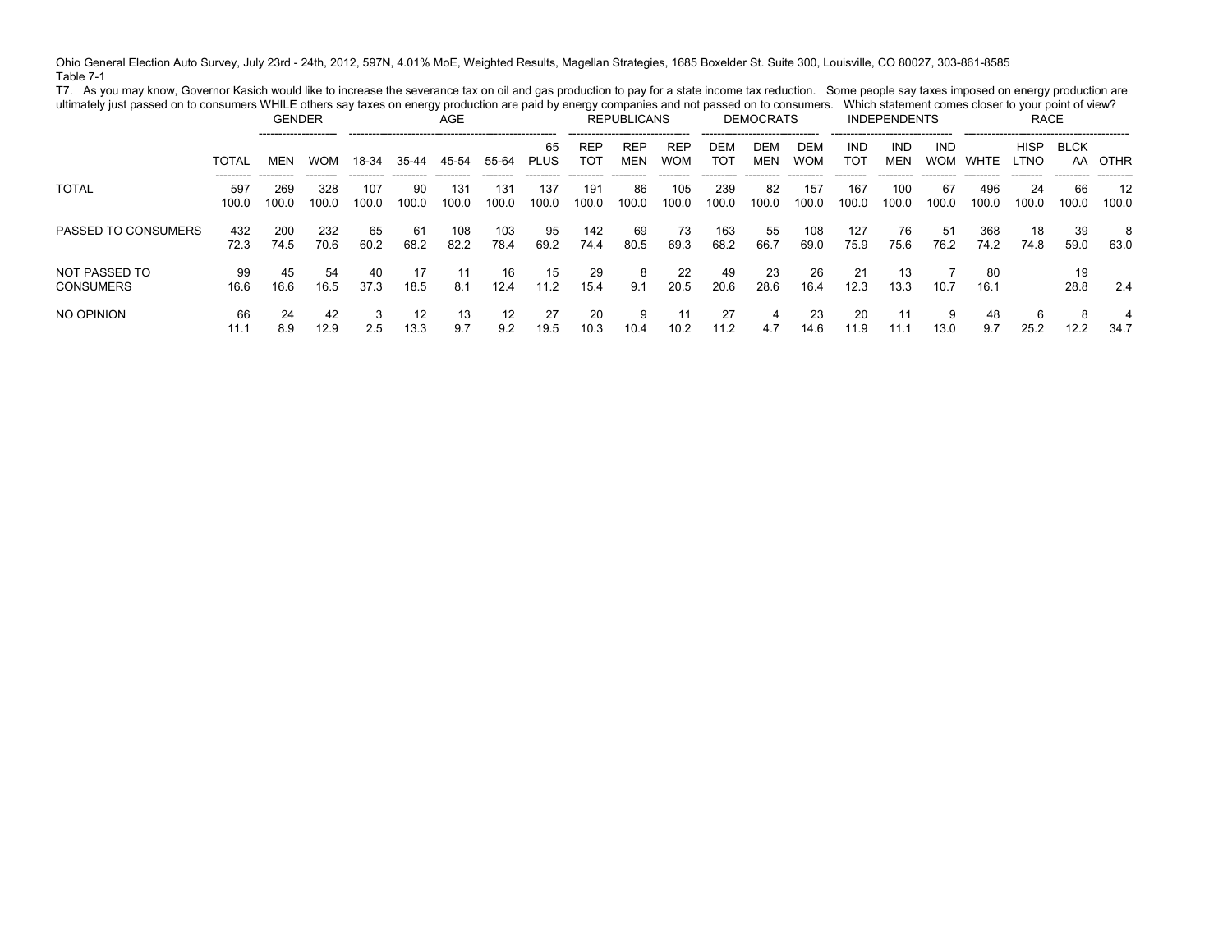Ohio General Election Auto Survey, July 23rd - 24th, 2012, 597N, 4.01% MoE, Weighted Results, Magellan Strategies, 1685 Boxelder St. Suite 300, Louisville, CO 80027, 303-861-8585 Table 7-1

T7. As you may know, Governor Kasich would like to increase the severance tax on oil and gas production to pay for a state income tax reduction. Some people say taxes imposed on energy production are ultimately just passed on to consumers WHILE others say taxes on energy production are paid by energy companies and not passed on to consumers. Which statement comes closer to your point of view?

|                                   |                           | <b>GENDER</b> |              |              |             | AGE          |              |                   |                   | <b>REPUBLICANS</b> |                          |              | <b>DEMOCRATS</b><br>-------------------------------- |                   |              | <b>INDEPENDENTS</b> |                          |              | <b>RACE</b>          |                   |             |
|-----------------------------------|---------------------------|---------------|--------------|--------------|-------------|--------------|--------------|-------------------|-------------------|--------------------|--------------------------|--------------|------------------------------------------------------|-------------------|--------------|---------------------|--------------------------|--------------|----------------------|-------------------|-------------|
|                                   | <b>TOTAL</b>              | MEN           | <b>WOM</b>   | 18-34        | 35-44       | 45-54        | 55-64        | 65<br><b>PLUS</b> | <b>REF</b><br>וסד | <b>REF</b><br>MEN  | <b>REF</b><br><b>WOM</b> | DEM<br>тот   | DEN<br>MEN                                           | DEM<br><b>WOM</b> | IND<br>וסד   | <b>IND</b><br>MEN   | <b>IND</b><br><b>WOM</b> | WHTE         | <b>HISP</b><br>LTNO. | <b>BLCK</b><br>AA | OTHR        |
| <b>TOTAL</b>                      | ---------<br>597<br>100.0 | 269<br>100.0  | 328<br>100.0 | 107<br>100.0 | 90<br>100.0 | 131<br>100.0 | 131<br>100.0 | 137<br>100.0      | 191<br>100.0      | 86<br>100.0        | 105<br>100.0             | 239<br>100.0 | 82<br>100.0                                          | 157<br>100.0      | 167<br>100.0 | 100<br>100.0        | 67<br>100.0              | 496<br>100.0 | 24<br>100.0          | 66<br>100.0       | 12<br>100.0 |
| PASSED TO CONSUMERS               | 432<br>72.3               | 200<br>74.5   | 232<br>70.6  | 65<br>60.2   | 61<br>68.2  | 108<br>82.2  | 103<br>78.4  | 95<br>69.2        | 142<br>74.4       | 69<br>80.5         | 73<br>69.3               | 163<br>68.2  | 55<br>66.7                                           | 108<br>69.0       | 127<br>75.9  | 76<br>75.6          | 51<br>76.2               | 368<br>74.2  | 18<br>74.8           | 39<br>59.0        | 8<br>63.0   |
| NOT PASSED TO<br><b>CONSUMERS</b> | 99<br>16.6                | 45<br>16.6    | 54<br>16.5   | 40<br>37.3   | 18.5        | 11<br>8.1    | 16<br>12.4   | 15<br>11.2        | 29<br>15.4        | 8<br>9.1           | 22<br>20.5               | 49<br>20.6   | 23<br>28.6                                           | 26<br>16.4        | 21<br>12.3   | 13<br>13.3          | 10.7                     | 80<br>16.1   |                      | 19<br>28.8        | 2.4         |
| NO OPINION                        | 66<br>11.7                | 24<br>8.9     | 42<br>12.9   | 3<br>2.5     | 12<br>13.3  | 13<br>9.7    | 12<br>9.2    | 27<br>19.5        | 20<br>10.3        | 9<br>10.4          | 11<br>10.2               | 27<br>11.2   | 4<br>4.7                                             | 23<br>14.6        | 20<br>11.9   | 11.                 | 9<br>13.0                | 48<br>9.7    | 6<br>25.2            | 8<br>12.2         | 4<br>34.7   |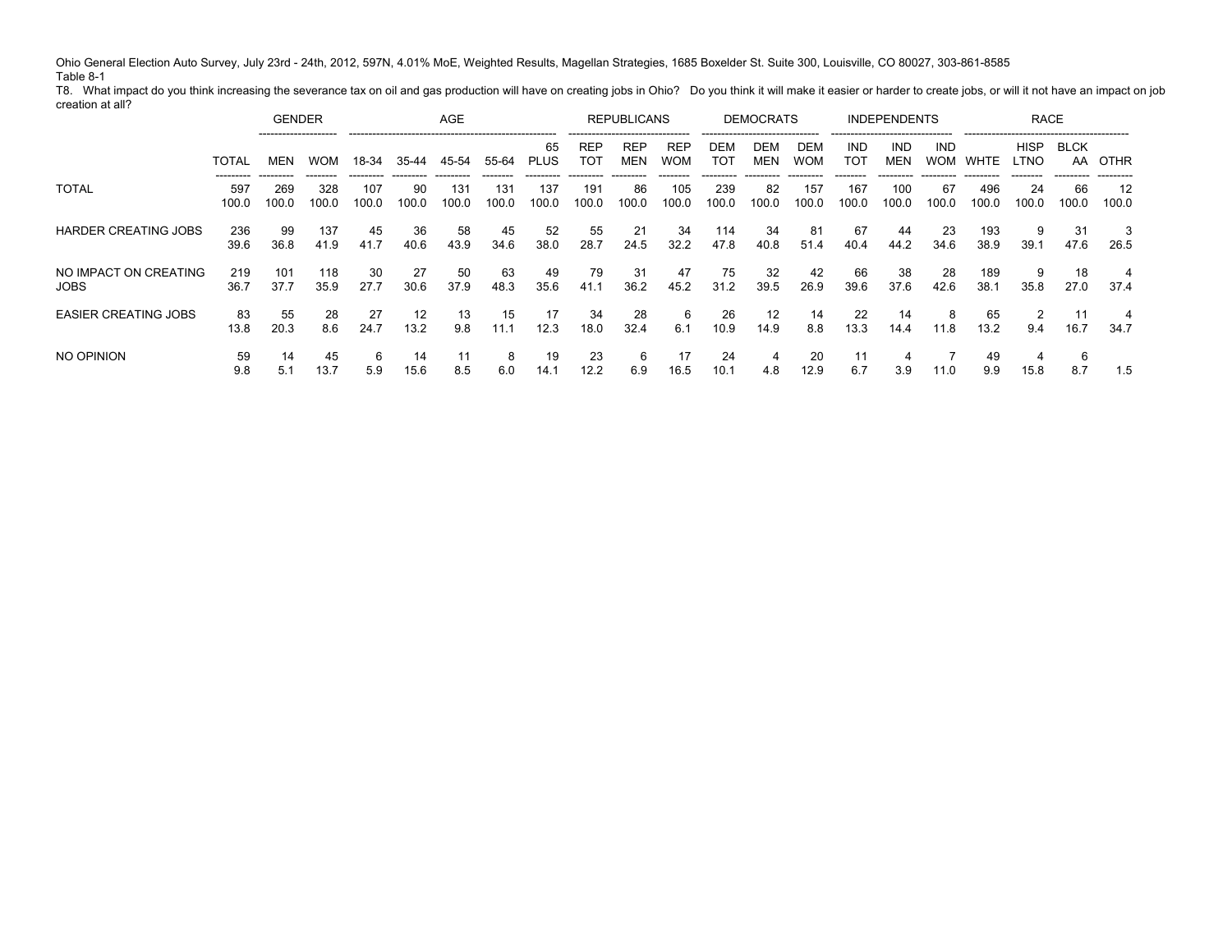Ohio General Election Auto Survey, July 23rd - 24th, 2012, 597N, 4.01% MoE, Weighted Results, Magellan Strategies, 1685 Boxelder St. Suite 300, Louisville, CO 80027, 303-861-8585 Table 8-1

T8. What impact do you think increasing the severance tax on oil and gas production will have on creating jobs in Ohio? Do you think it will make it easier or harder to create jobs, or will it not have an impact on job creation at all?

|                                      |              | <b>GENDER</b> |              |              |             | <b>AGE</b>   |              |                   |                   | <b>REPUBLICANS</b>       |                          |              | <b>DEMOCRATS</b> |                   |                   | <b>INDEPENDENTS</b>      |                   |              | <b>RACE</b>         |                   |             |
|--------------------------------------|--------------|---------------|--------------|--------------|-------------|--------------|--------------|-------------------|-------------------|--------------------------|--------------------------|--------------|------------------|-------------------|-------------------|--------------------------|-------------------|--------------|---------------------|-------------------|-------------|
|                                      | <b>TOTAL</b> | <b>MEN</b>    | <b>WOM</b>   | 18-34        | 35-44       | 45-54        | 55-64        | 65<br><b>PLUS</b> | <b>REF</b><br>TOT | <b>REP</b><br><b>MEN</b> | <b>REF</b><br><b>WOM</b> | DEN<br>TOT   | DEM<br>MEN       | DEM<br><b>WOM</b> | <b>IND</b><br>тот | <b>IND</b><br><b>MEN</b> | IND<br><b>WOM</b> | WHTE         | <b>HISP</b><br>.TNO | <b>BLCK</b><br>AA | OTHR        |
| <b>TOTAL</b>                         | 597<br>100.0 | 269<br>100.0  | 328<br>100.0 | 107<br>100.0 | 90<br>100.0 | 131<br>100.0 | 131<br>100.0 | 137<br>100.0      | 191<br>100.0      | 86<br>100.0              | 105<br>100.0             | 239<br>100.0 | 82<br>100.0      | 157<br>100.0      | 167<br>100.0      | 100<br>100.0             | 67<br>100.0       | 496<br>100.0 | 24<br>100.0         | 66<br>100.0       | 12<br>100.0 |
| <b>HARDER CREATING JOBS</b>          | 236<br>39.6  | 99<br>36.8    | 137<br>41.9  | 45<br>41.7   | 36<br>40.6  | 58<br>43.9   | 45<br>34.6   | 52<br>38.0        | 55<br>28.7        | 21<br>24.5               | 34<br>32.2               | 114<br>47.8  | 34<br>40.8       | 81<br>51.4        | 67<br>40.4        | 44<br>44.2               | 23<br>34.6        | 193<br>38.9  | 39.1                | -31<br>47.6       | -3<br>26.5  |
| NO IMPACT ON CREATING<br><b>JOBS</b> | 219<br>36.7  | 101<br>37.7   | 118<br>35.9  | 30<br>27.7   | 27<br>30.6  | 50<br>37.9   | 63<br>48.3   | 49<br>35.6        | 79<br>41.1        | 31<br>36.2               | 47<br>45.2               | 75<br>31.2   | 32<br>39.5       | 42<br>26.9        | 66<br>39.6        | 38<br>37.6               | 28<br>42.6        | 189<br>38.1  | 9<br>35.8           | 18<br>27.0        | 4<br>37.4   |
| <b>EASIER CREATING JOBS</b>          | 83<br>13.8   | 55<br>20.3    | 28<br>8.6    | 27<br>24.7   | 12<br>13.2  | 13<br>9.8    | 15<br>11.1   | 17<br>12.3        | -34<br>18.0       | 28<br>32.4               | -6<br>6.1                | 26<br>10.9   | 12<br>14.9       | 14<br>8.8         | 22<br>13.3        | 14<br>14.4               | 8<br>11.8         | 65<br>13.2   | 9.4                 | 16.7              | 4<br>34.7   |
| NO OPINION                           | 59<br>9.8    | 14<br>5.1     | 45<br>13.7   | 6<br>5.9     | 14<br>15.6  | 11<br>8.5    | 8<br>6.0     | 19<br>14.1        | 23<br>12.2        | 6<br>6.9                 | 17<br>16.5               | 24<br>10.1   | 4.8              | 20<br>12.9        | 11<br>6.7         | 3.9                      | 11.0              | 49<br>9.9    | 4<br>15.8           | 6<br>8.7          | 1.5         |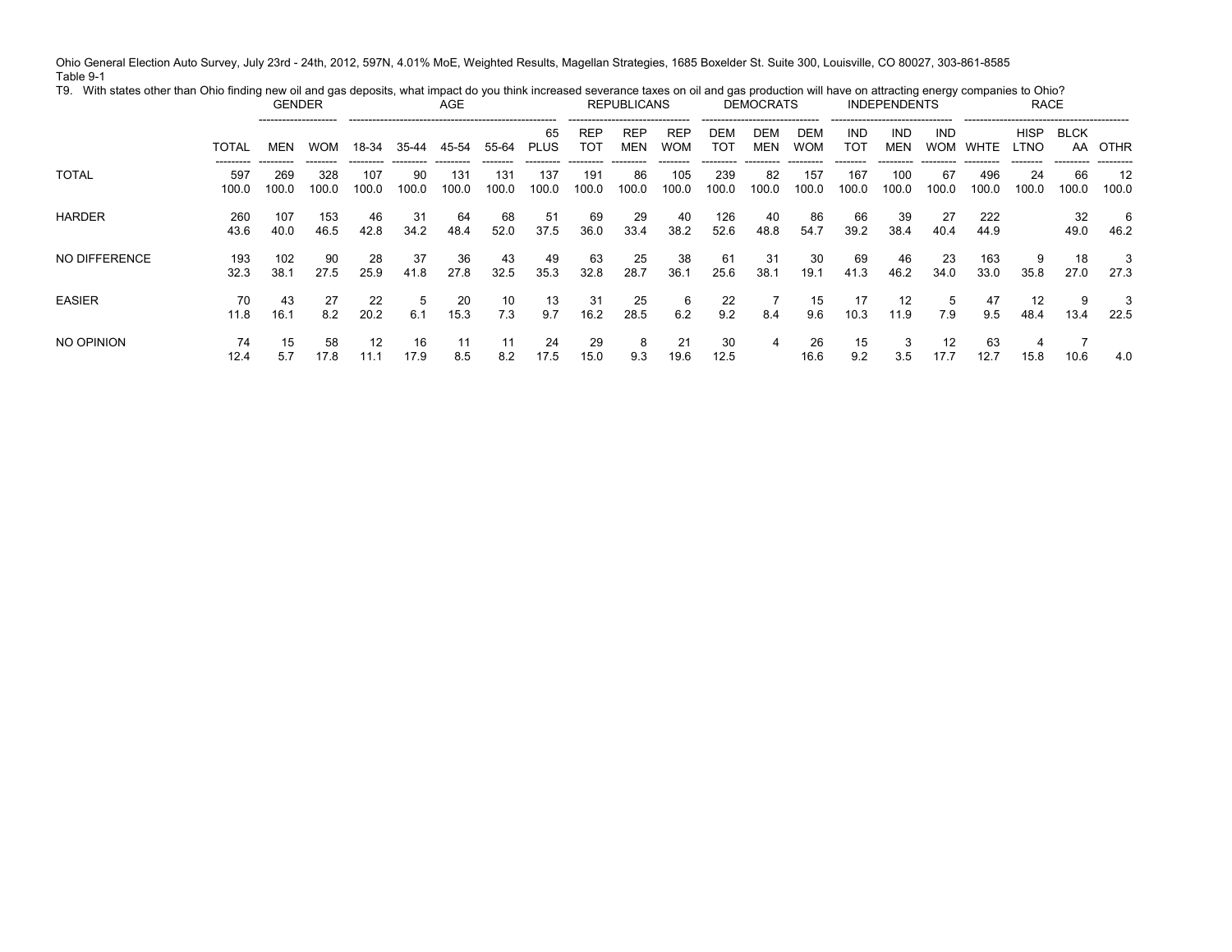Ohio General Election Auto Survey, July 23rd - 24th, 2012, 597N, 4.01% MoE, Weighted Results, Magellan Strategies, 1685 Boxelder St. Suite 300, Louisville, CO 80027, 303-861-8585 Table 9-1 T9. With states other than Ohio finding new oil and gas deposits, what impact do you think increased severance taxes on oil and gas production will have on attracting energy companies to Ohio?

|               |              | <b>GENDER</b> |              |              |             | <b>AGE</b>   |              |                   | .                 | <b>REPUBLICANS</b> |                          |              | <b>DEMOCRATS</b> |                   |              | <b>INDEPENDENTS</b> |                          |              | <b>RACE</b>         |                   |                          |
|---------------|--------------|---------------|--------------|--------------|-------------|--------------|--------------|-------------------|-------------------|--------------------|--------------------------|--------------|------------------|-------------------|--------------|---------------------|--------------------------|--------------|---------------------|-------------------|--------------------------|
|               | TOTAL        | MEN           | <b>WOM</b>   | 18-34        | 35-44       | 45-54        | 55-64        | 65<br><b>PLUS</b> | <b>REP</b><br>TOT | REP<br><b>MEN</b>  | <b>REP</b><br><b>WOM</b> | DEM<br>TOT   | DEM<br>MEN       | DEM<br><b>WOM</b> | IND<br>TOT   | IND<br>MEN          | <b>IND</b><br><b>WOM</b> | WHTE         | HISP<br><b>LTNO</b> | <b>BLCK</b><br>AA | OTHR                     |
| <b>TOTAL</b>  | 597<br>100.0 | 269<br>100.0  | 328<br>100.0 | 107<br>100.0 | 90<br>100.0 | 131<br>100.0 | 131<br>100.0 | 137<br>100.0      | 191<br>100.0      | 86<br>100.0        | 105<br>100.0             | 239<br>100.0 | 82<br>100.0      | 157<br>100.0      | 167<br>100.0 | 100<br>100.0        | 67<br>100.0              | 496<br>100.0 | 24<br>100.0         | 66<br>100.0       | ---------<br>12<br>100.0 |
| <b>HARDER</b> | 260<br>43.6  | 107<br>40.0   | 153<br>46.5  | 46<br>42.8   | 31<br>34.2  | 64<br>48.4   | 68<br>52.0   | 51<br>37.5        | 69<br>36.0        | -29<br>33.4        | 40<br>38.2               | 126<br>52.6  | 40<br>48.8       | 86<br>54.7        | 66<br>39.2   | -39<br>38.4         | -27<br>40.4              | 222<br>44.9  |                     | 32<br>49.0        | 6<br>46.2                |
| NO DIFFERENCE | 193<br>32.3  | 102<br>38.1   | 90<br>27.5   | 28<br>25.9   | 37<br>41.8  | 36<br>27.8   | 43<br>32.5   | 49<br>35.3        | 63<br>32.8        | 25<br>28.7         | 38<br>36.1               | 61<br>25.6   | 31<br>38.1       | 30<br>19.1        | 69<br>41.3   | 46<br>46.2          | 23<br>34.0               | 163<br>33.0  | 9<br>35.8           | 18<br>27.0        | 3<br>27.3                |
| <b>EASIER</b> | 70<br>11.8   | 43<br>16.1    | 27<br>8.2    | 22<br>20.2   | 6.1         | 20<br>15.3   | 10<br>7.3    | 13<br>9.7         | -31<br>16.2       | 25<br>28.5         | 6<br>6.2                 | 22<br>9.2    | 8.4              | 15<br>9.6         | 17<br>10.3   | 12<br>11.9          | 5<br>7.9                 | 47<br>9.5    | 12<br>48.4          | 9<br>13.4         | 3<br>22.5                |
| NO OPINION    | 74<br>12.4   | 15<br>5.7     | 58<br>17.8   | 12<br>11.1   | 16<br>17.9  | 11<br>8.5    | 11<br>8.2    | 24<br>17.5        | 29<br>15.0        | -8<br>9.3          | 21<br>19.6               | 30<br>12.5   | 4                | 26<br>16.6        | 15<br>9.2    | 3<br>3.5            | 12<br>17.7               | 63<br>12.7   | 4<br>15.8           | 10.6              | 4.0                      |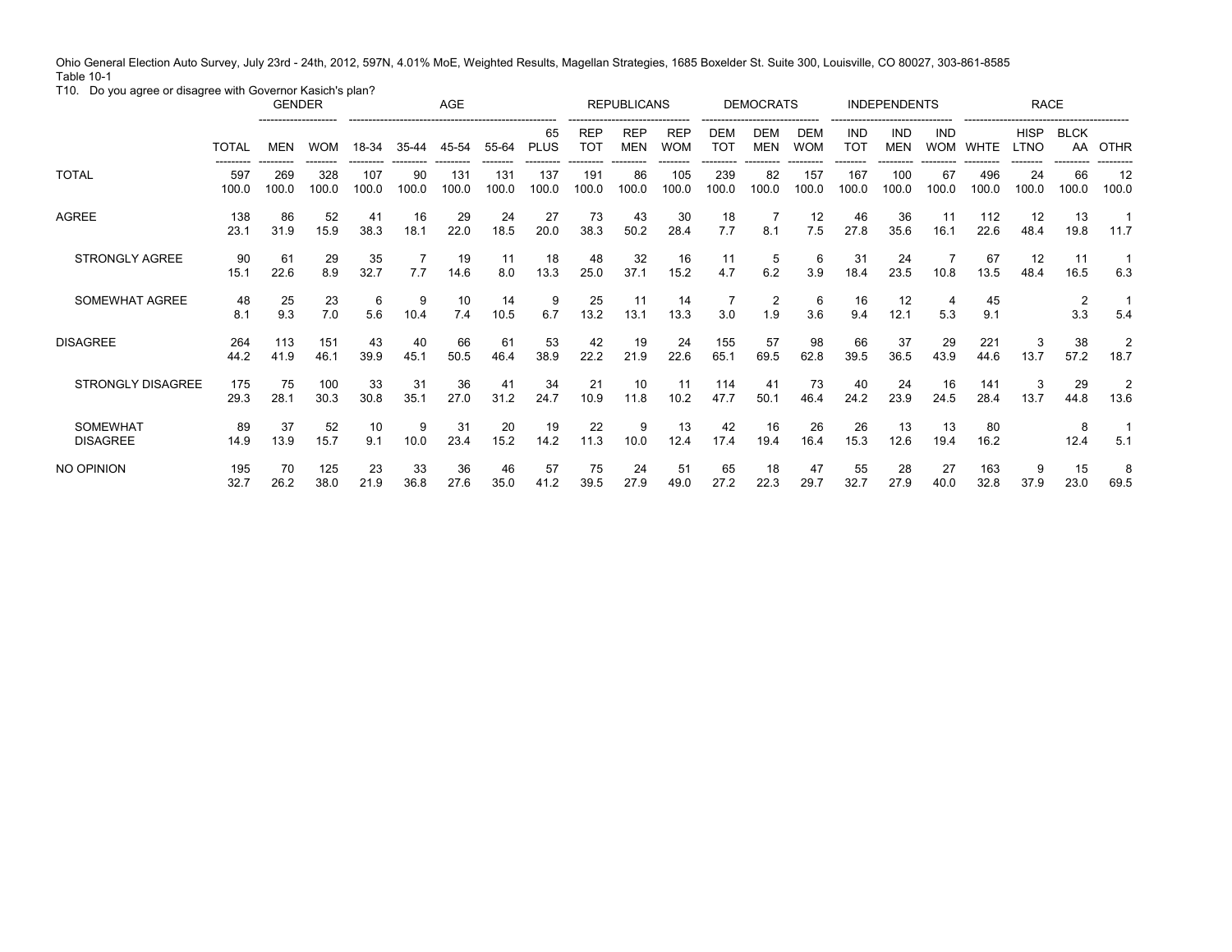Ohio General Election Auto Survey, July 23rd - 24th, 2012, 597N, 4.01% MoE, Weighted Results, Magellan Strategies, 1685 Boxelder St. Suite 300, Louisville, CO 80027, 303-861-8585 Table 10-1

T10. Do you agree or disagree with Governor Kasich's plan?

|                                    |              | <b>GENDER</b> |              |              |             | AGE          |              |                   |                               | <b>REPUBLICANS</b>       |                          |                          | <b>DEMOCRATS</b>         |                   |                          | <b>INDEPENDENTS</b>      |                          |              | <b>RACE</b>         |                       |                        |
|------------------------------------|--------------|---------------|--------------|--------------|-------------|--------------|--------------|-------------------|-------------------------------|--------------------------|--------------------------|--------------------------|--------------------------|-------------------|--------------------------|--------------------------|--------------------------|--------------|---------------------|-----------------------|------------------------|
|                                    | <b>TOTAL</b> | <b>MEN</b>    | <b>WOM</b>   | 18-34        | $35 - 44$   | 45-54        | 55-64        | 65<br><b>PLUS</b> | <b>REP</b><br>TO <sub>1</sub> | <b>REP</b><br><b>MEN</b> | <b>REP</b><br><b>WON</b> | <b>DEM</b><br><b>TOT</b> | <b>DEM</b><br><b>MEN</b> | DEM<br><b>WOM</b> | <b>IND</b><br><b>TOT</b> | <b>IND</b><br><b>MEN</b> | <b>IND</b><br><b>WOM</b> | <b>WHTE</b>  | <b>HISP</b><br>LTNO | <b>BLCK</b><br>AA     | <b>OTHR</b>            |
| <b>TOTAL</b>                       | 597<br>100.0 | 269<br>100.0  | 328<br>100.0 | 107<br>100.0 | 90<br>100.0 | 131<br>100.0 | 131<br>100.0 | 137<br>100.0      | 191<br>100.0                  | 86<br>100.0              | 105<br>100.0             | 239<br>100.0             | 82<br>100.0              | 157<br>100.0      | 167<br>100.0             | 100<br>100.0             | 67<br>100.0              | 496<br>100.0 | 24<br>100.0         | 66<br>100.0           | 12<br>100.0            |
| AGREE                              | 138<br>23.1  | 86<br>31.9    | 52<br>15.9   | 41<br>38.3   | 16<br>18.1  | 29<br>22.0   | 24<br>18.5   | 27<br>20.0        | 73<br>38.3                    | 43<br>50.2               | 30<br>28.4               | 18<br>7.7                | 8.1                      | 12<br>7.5         | 46<br>27.8               | 36<br>35.6               | 11<br>16.1               | 112<br>22.6  | 12<br>48.4          | 13<br>19.8            | 11.7                   |
| <b>STRONGLY AGREE</b>              | 90<br>15.1   | 61<br>22.6    | 29<br>8.9    | 35<br>32.7   | 7.7         | 19<br>14.6   | 11<br>8.0    | 18<br>13.3        | 48<br>25.0                    | 32<br>37.1               | 16<br>15.2               | 11<br>4.7                | 5<br>6.2                 | 6<br>3.9          | 31<br>18.4               | 24<br>23.5               | 10.8                     | 67<br>13.5   | 12<br>48.4          | 11<br>16.5            | 6.3                    |
| SOMEWHAT AGREE                     | 48<br>8.1    | 25<br>9.3     | 23<br>7.0    | 6<br>5.6     | 9<br>10.4   | 10<br>7.4    | 14<br>10.5   | 9<br>6.7          | 25<br>13.2                    | 11<br>13.1               | 14<br>13.3               | 3.0                      | 2<br>1.9                 | 6<br>3.6          | 16<br>9.4                | 12<br>12.1               | 4<br>5.3                 | 45<br>9.1    |                     | $\overline{2}$<br>3.3 | 5.4                    |
| <b>DISAGREE</b>                    | 264<br>44.2  | 113<br>41.9   | 151<br>46.1  | 43<br>39.9   | 40<br>45.1  | 66<br>50.5   | 61<br>46.4   | 53<br>38.9        | 42<br>22.2                    | 19<br>21.9               | 24<br>22.6               | 155<br>65.1              | 57<br>69.5               | 98<br>62.8        | 66<br>39.5               | 37<br>36.5               | 29<br>43.9               | 221<br>44.6  | 3<br>13.7           | 38<br>57.2            | $\overline{2}$<br>18.7 |
| <b>STRONGLY DISAGREE</b>           | 175<br>29.3  | 75<br>28.1    | 100<br>30.3  | 33<br>30.8   | 31<br>35.1  | 36<br>27.0   | 41<br>31.2   | 34<br>24.7        | 21<br>10.9                    | 10<br>11.8               | 11<br>10.2               | 114<br>47.7              | 41<br>50.1               | 73<br>46.4        | 40<br>24.2               | 24<br>23.9               | 16<br>24.5               | 141<br>28.4  | 3<br>13.7           | 29<br>44.8            | 2<br>13.6              |
| <b>SOMEWHAT</b><br><b>DISAGREE</b> | 89<br>14.9   | 37<br>13.9    | 52<br>15.7   | 10<br>9.1    | 9<br>10.0   | 31<br>23.4   | 20<br>15.2   | 19<br>14.2        | 22<br>11.3                    | 9<br>10.0                | 13<br>12.4               | 42<br>17.4               | 16<br>19.4               | 26<br>16.4        | 26<br>15.3               | 13<br>12.6               | 13<br>19.4               | 80<br>16.2   |                     | 8<br>12.4             | 5.1                    |
| NO OPINION                         | 195<br>32.7  | 70<br>26.2    | 125<br>38.0  | 23<br>21.9   | 33<br>36.8  | 36<br>27.6   | 46<br>35.0   | 57<br>41.2        | 75<br>39.5                    | 24<br>27.9               | 51<br>49.0               | 65<br>27.2               | 18<br>22.3               | 47<br>29.7        | 55<br>32.7               | 28<br>27.9               | 27<br>40.0               | 163<br>32.8  | 9<br>37.9           | 15<br>23.0            | 8<br>69.5              |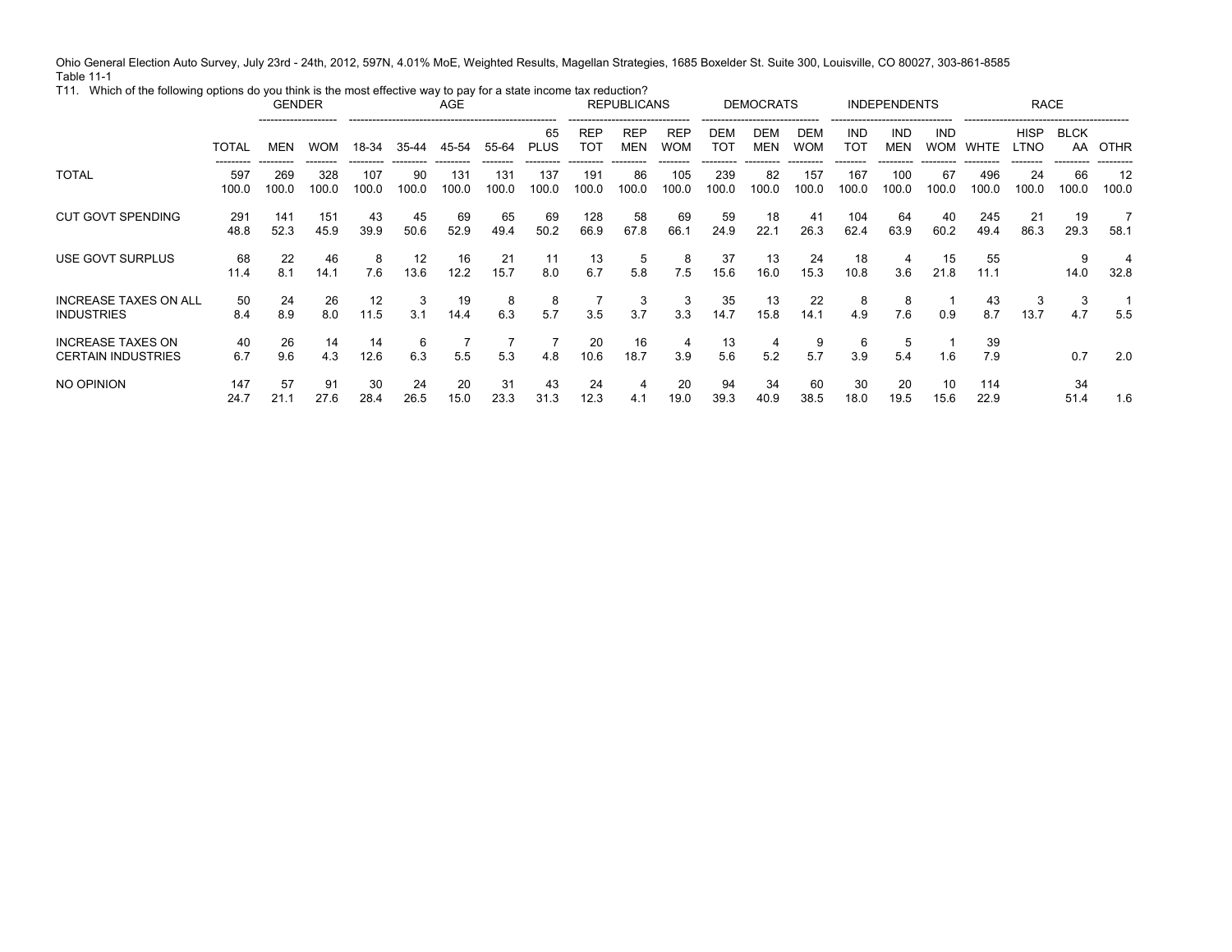Ohio General Election Auto Survey, July 23rd - 24th, 2012, 597N, 4.01% MoE, Weighted Results, Magellan Strategies, 1685 Boxelder St. Suite 300, Louisville, CO 80027, 303-861-8585 Table 11-1

T11. Which of the following options do you think is the most effective way to pay for a state income tax reduction? GENDER AGE REPUBLICANS DEMOCRATS INDEPENDENTS RACE -------------------- ----------------------------------------------------- ------------------------------- ------------------------------ ------------------------------- ------------------------------------------ TOTAL MEN WOM 18-34 35-44 45-54 --------- --------- -------- --------- --------- ---------55-64 PLUS --------65 ---------REPTOT ---------REPMEN ---------REPWOM --------DEM TOT ---------DEMMEN ---------DEMWOM ---------INDTOT --------INDMEN ---------INDWOM WHTE LTNO --------- ---------HISP BLCK -------- ---------**TOTAL** 597 100.0 269 100.0 328 100.0 107 100.0 90 100.0 131 100.0 131 100.0 137 100.0 191 100.0 86 100.0 105 100.0 239 100.0 82 100.0 157 100.0 167 100.0 100 100.0 67 100.0 496 100.0 24 100.0 100.0 CUT GOVT SPENDING 291 48.8 141 52.3 151 45.9 43 39.945 50.669 52.965 49.469 50.2128 66.958 67.8 69 66.159 24.9 18 22.141 26.3 104 62.464 63.940 60.2245 49.421 86.329.3USE GOVT SURPLUS 68 11.4 22 8.1 46 14.1 8 7.612 13.616 12.221 15.711 8.013 6.75 5.8 8 7.537 15.6 13 16.024 15.318 10.84 3.615 21.855 11.114.0INCREASE TAXES ON ALL INDUSTRIES 50 8.4 24 8.9 26 8.0 1211.5 33.1 1914.4 86.3 85.7 73.5 33.7 33.3 35 14.7 1315.8 2214.1 84.9 87.6 10.9 438.7 313.7 INCREASE TAXES ON CERTAIN INDUSTRIES 40 6.7 26 9.6 14 4.3 1412.6 6 6.3 75.575.3 74.8 2010.61618.7 43.9 13 5.6 4 5.2 95.763.955.4 11.6397.9 0.7 2.0NO OPINION 147 24.7 57 21.1 91 27.6 30 28.424 26.520 15.031 23.343 31.324 12.34 4.120 19.094 39.3 34 40.960 38.530 18.020 19.51015.611422.951.4 1.6

AA OTHR

66

19

9

34.7

34

---------

12 100.0

7 58.1

4 32.8

> 15.5